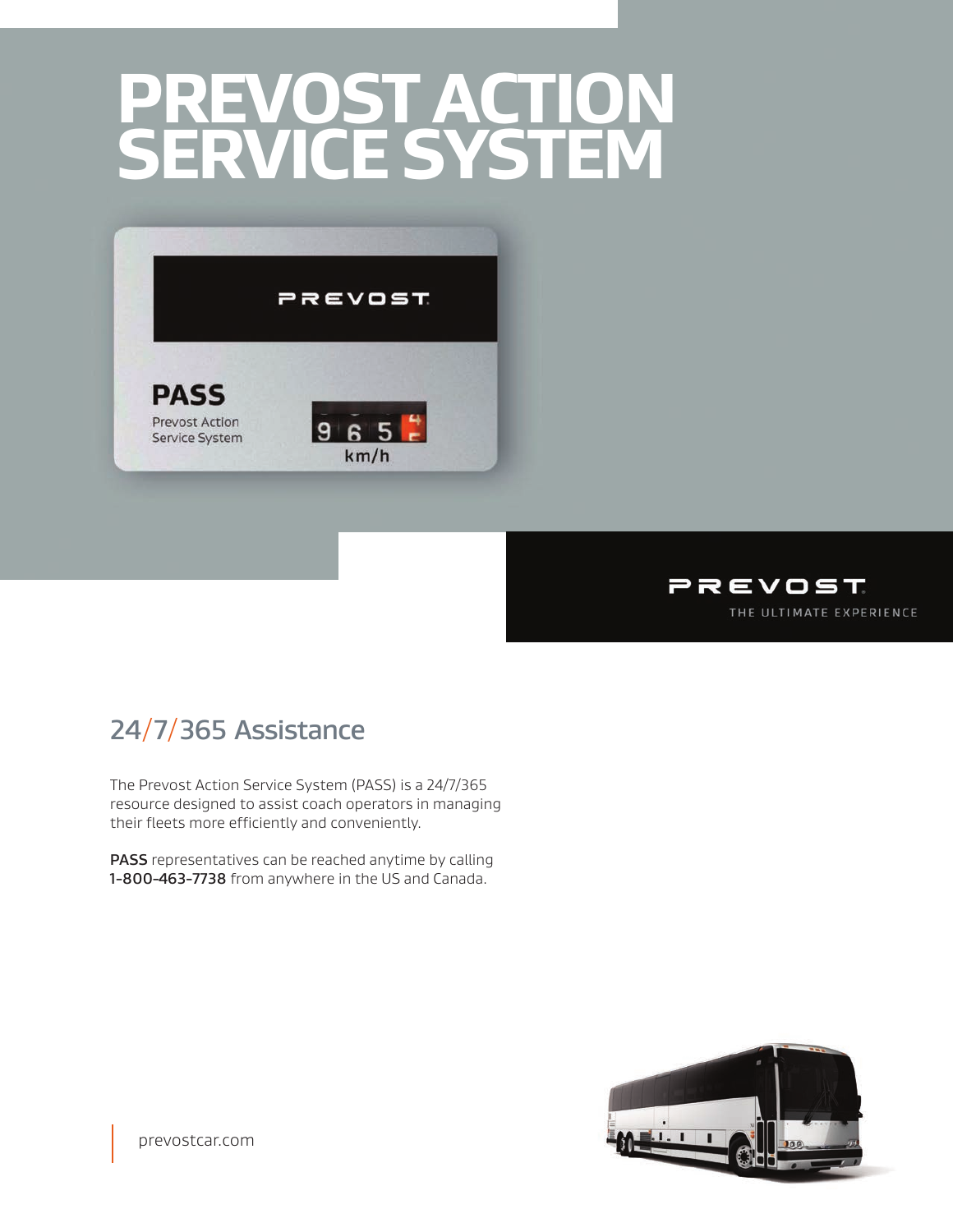## **PREVOST ACTION SERVICE SYSTEM**





## **24**/**7**/**365 Assistance**

The Prevost Action Service System (PASS) is a 24/7/365 resource designed to assist coach operators in managing their fleets more efficiently and conveniently.

**PASS** representatives can be reached anytime by calling **1-800-463-7738** from anywhere in the US and Canada.



prevostcar.com